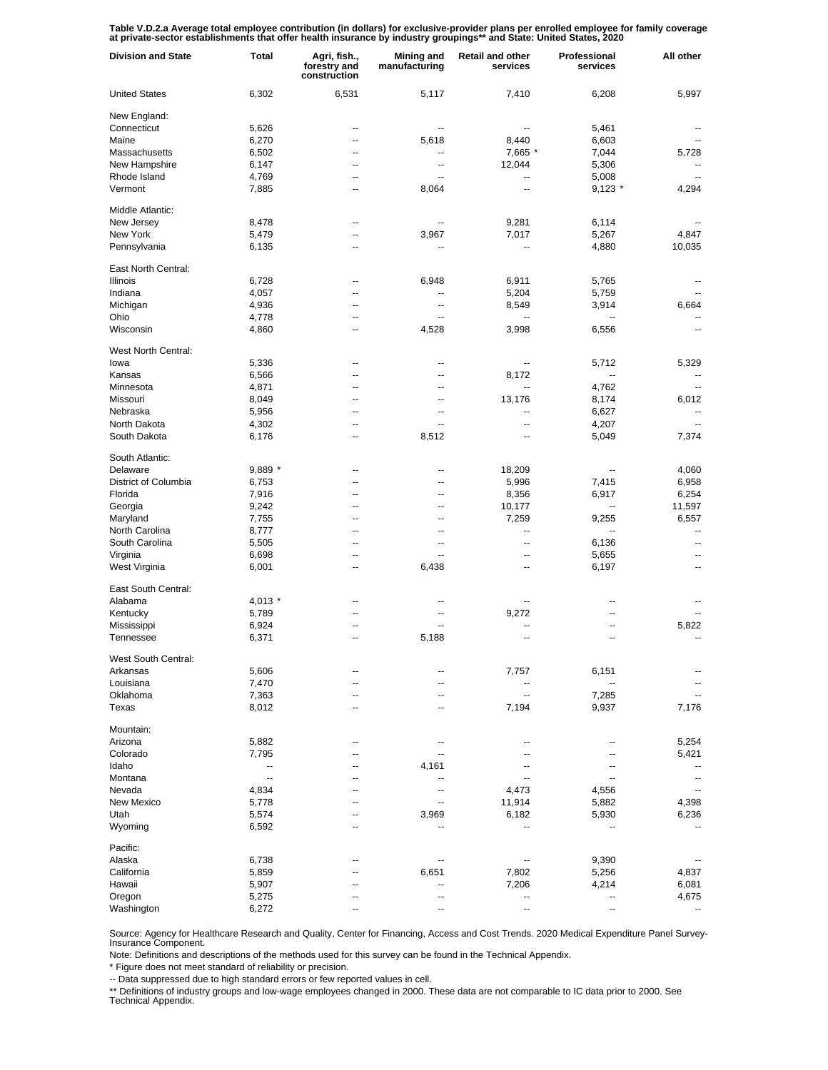Table V.D.2.a Average total employee contribution (in dollars) for exclusive-provider plans per enrolled employee for family coverage<br>at private-sector establishments that offer health insurance by industry groupings\*\* and

| <b>Division and State</b>       | <b>Total</b>             | Agri, fish.,<br>forestry and<br>construction | <b>Mining and</b><br>manufacturing | Retail and other<br>services      | Professional<br>services | All other                |
|---------------------------------|--------------------------|----------------------------------------------|------------------------------------|-----------------------------------|--------------------------|--------------------------|
| <b>United States</b>            | 6,302                    | 6,531                                        | 5,117                              | 7,410                             | 6,208                    | 5,997                    |
| New England:                    |                          |                                              |                                    |                                   |                          |                          |
| Connecticut                     | 5,626                    | --                                           | $\overline{\phantom{a}}$           | $\overline{\phantom{a}}$          | 5,461                    |                          |
| Maine                           | 6,270                    | --                                           | 5,618                              | 8,440                             | 6,603                    |                          |
| Massachusetts                   | 6,502                    | --                                           | --                                 | 7,665 *                           | 7,044                    | 5,728                    |
| New Hampshire                   | 6,147                    | --                                           | --                                 | 12,044                            | 5,306                    |                          |
| Rhode Island                    | 4,769                    | --                                           | --                                 | $\overline{\phantom{a}}$          | 5,008                    |                          |
| Vermont                         | 7,885                    | --                                           | 8,064                              | $\overline{\phantom{a}}$          | $9,123$ *                | 4,294                    |
| Middle Atlantic:                |                          |                                              |                                    |                                   |                          |                          |
| New Jersey                      | 8,478                    | --                                           |                                    | 9,281                             | 6,114                    |                          |
| New York                        |                          | --                                           | 3,967                              | 7,017                             |                          | 4,847                    |
|                                 | 5,479                    | --                                           |                                    |                                   | 5,267                    |                          |
| Pennsylvania                    | 6,135                    |                                              |                                    | --                                | 4,880                    | 10,035                   |
| East North Central:             |                          |                                              |                                    |                                   |                          |                          |
| <b>Illinois</b>                 | 6,728                    | --                                           | 6,948                              | 6,911                             | 5,765                    |                          |
| Indiana                         | 4,057                    | --                                           | --                                 | 5,204                             | 5,759                    |                          |
| Michigan                        | 4,936                    | --                                           | --                                 | 8,549                             | 3,914                    | 6,664                    |
| Ohio                            | 4,778                    | --                                           |                                    | ۰.                                |                          |                          |
| Wisconsin                       | 4,860                    | ٠.                                           | 4,528                              | 3,998                             | 6,556                    |                          |
| West North Central:             |                          |                                              |                                    |                                   |                          |                          |
| lowa                            | 5,336                    | --                                           | --                                 | $\overline{\phantom{a}}$          | 5,712                    | 5,329                    |
| Kansas                          | 6,566                    | --                                           | --                                 | 8,172                             | ۰.                       |                          |
|                                 |                          |                                              |                                    |                                   |                          |                          |
| Minnesota                       | 4,871                    | --                                           | --                                 | $\overline{\phantom{a}}$          | 4,762                    |                          |
| Missouri                        | 8,049                    | --                                           | --                                 | 13,176                            | 8,174                    | 6,012                    |
| Nebraska                        | 5,956                    | --                                           | $\overline{\phantom{a}}$           | $\overline{\phantom{a}}$          | 6,627                    | $\overline{\phantom{a}}$ |
| North Dakota                    | 4,302                    | --                                           | $\overline{a}$                     | $\overline{\phantom{a}}$          | 4,207                    | $\overline{\phantom{a}}$ |
| South Dakota                    | 6,176                    | --                                           | 8,512                              | --                                | 5,049                    | 7,374                    |
| South Atlantic:                 |                          |                                              |                                    |                                   |                          |                          |
| Delaware                        | 9,889 *                  | --                                           | --                                 | 18,209                            | --                       | 4,060                    |
| District of Columbia            | 6,753                    | --                                           | --                                 | 5,996                             | 7,415                    | 6,958                    |
| Florida                         | 7,916                    | --                                           | --                                 | 8,356                             | 6,917                    | 6,254                    |
| Georgia                         | 9,242                    | --                                           | --                                 | 10,177                            | --                       | 11,597                   |
| Maryland                        | 7,755                    | --                                           | --                                 | 7,259                             | 9,255                    | 6,557                    |
| North Carolina                  | 8,777                    | --                                           | --                                 | $\overline{\phantom{a}}$          | Ш,                       | --                       |
| South Carolina                  | 5,505                    | --                                           | --                                 | --                                | 6,136                    | $\overline{a}$           |
| Virginia                        |                          | --                                           | $\overline{\phantom{a}}$           | --                                | 5,655                    | --                       |
|                                 | 6,698                    |                                              |                                    |                                   |                          |                          |
| West Virginia                   | 6,001                    | --                                           | 6,438                              | --                                | 6,197                    | --                       |
| East South Central:             |                          |                                              |                                    |                                   |                          |                          |
| Alabama                         | 4,013 *                  | --                                           | --                                 | --                                | --                       |                          |
| Kentucky                        | 5,789                    | --                                           | --                                 | 9,272                             | --                       |                          |
| Mississippi                     | 6,924                    | ٠.                                           |                                    | ۰.                                | --                       | 5,822                    |
| Tennessee                       | 6,371                    | ٠.                                           | 5,188                              | --                                | --                       | --                       |
|                                 |                          |                                              |                                    |                                   |                          |                          |
| West South Central:<br>Arkansas |                          |                                              |                                    |                                   |                          |                          |
|                                 | 5,606                    |                                              |                                    | 7,757                             | 6,151                    |                          |
| Louisiana                       | 7,470                    | --                                           | --                                 | --                                |                          |                          |
| Oklahoma<br>Texas               | 7,363<br>8,012           | --<br>--                                     | --<br>--                           | $\overline{\phantom{a}}$<br>7,194 | 7,285<br>9,937           | 7,176                    |
|                                 |                          |                                              |                                    |                                   |                          |                          |
| Mountain:                       |                          |                                              |                                    |                                   |                          |                          |
| Arizona                         | 5,882                    |                                              |                                    |                                   | --                       | 5,254                    |
| Colorado                        | 7,795                    | --                                           |                                    |                                   | --                       | 5,421                    |
| Idaho                           | $\overline{\phantom{a}}$ |                                              | 4,161                              |                                   | --                       |                          |
| Montana                         | $\overline{\phantom{a}}$ | --                                           |                                    |                                   | --                       | $\overline{a}$           |
| Nevada                          | 4,834                    |                                              |                                    | 4,473                             | 4,556                    |                          |
| New Mexico                      | 5,778                    |                                              |                                    | 11,914                            | 5,882                    | 4,398                    |
| Utah                            | 5,574                    |                                              | 3,969                              | 6,182                             | 5,930                    | 6,236                    |
| Wyoming                         | 6,592                    |                                              |                                    | --                                |                          |                          |
|                                 |                          |                                              |                                    |                                   |                          |                          |
| Pacific:                        |                          |                                              |                                    |                                   |                          |                          |
| Alaska                          | 6,738                    |                                              |                                    |                                   | 9,390                    |                          |
| California                      | 5,859                    |                                              | 6,651                              | 7,802                             | 5,256                    | 4,837                    |
| Hawaii                          | 5,907                    |                                              |                                    | 7,206                             | 4,214                    | 6,081                    |
| Oregon                          | 5,275                    |                                              |                                    |                                   | --                       | 4,675                    |
| Washington                      | 6,272                    |                                              |                                    | --                                | --                       |                          |

Source: Agency for Healthcare Research and Quality, Center for Financing, Access and Cost Trends. 2020 Medical Expenditure Panel Survey-Insurance Component.

Note: Definitions and descriptions of the methods used for this survey can be found in the Technical Appendix.

\* Figure does not meet standard of reliability or precision.

-- Data suppressed due to high standard errors or few reported values in cell.

\*\* Definitions of industry groups and low-wage employees changed in 2000. These data are not comparable to IC data prior to 2000. See Technical Appendix.